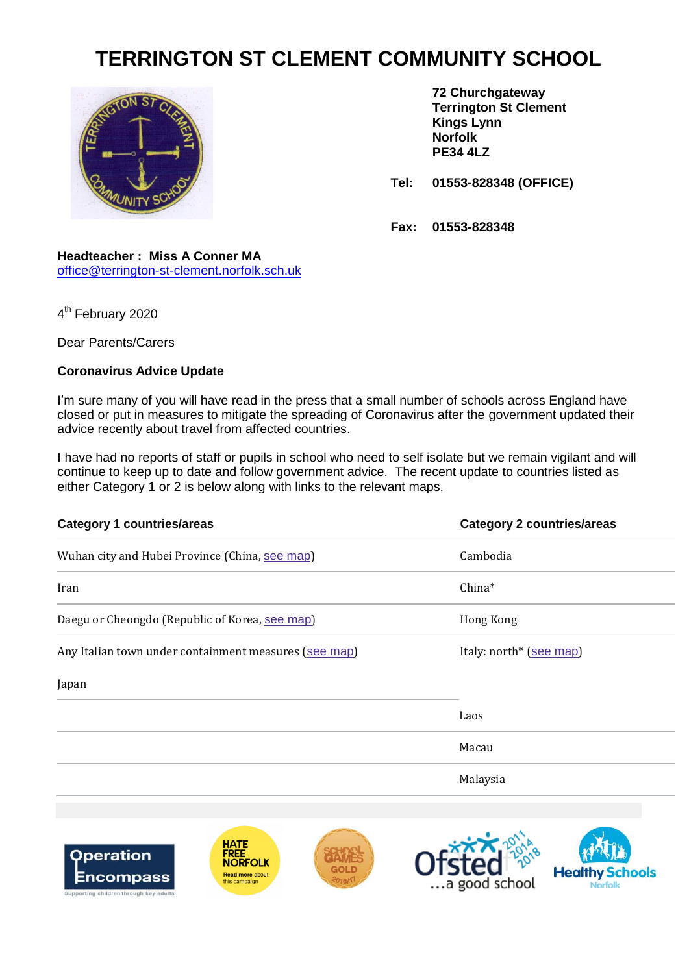## **TERRINGTON ST CLEMENT COMMUNITY SCHOOL**



**72 Churchgateway Terrington St Clement Kings Lynn Norfolk PE34 4LZ**

**Tel: 01553-828348 (OFFICE)**

**Fax: 01553-828348**

## **Headteacher : Miss A Conner MA** [office@terrington-st-clement.norfolk.sch.uk](mailto:office@terrington-st-clement.norfolk.sch.uk)

4<sup>th</sup> February 2020

Dear Parents/Carers

Encompass

## **Coronavirus Advice Update**

I'm sure many of you will have read in the press that a small number of schools across England have closed or put in measures to mitigate the spreading of Coronavirus after the government updated their advice recently about travel from affected countries.

I have had no reports of staff or pupils in school who need to self isolate but we remain vigilant and will continue to keep up to date and follow government advice. The recent update to countries listed as either Category 1 or 2 is below along with links to the relevant maps.

| <b>Category 1 countries/areas</b>                                                                | <b>Category 2 countries/areas</b> |
|--------------------------------------------------------------------------------------------------|-----------------------------------|
| Wuhan city and Hubei Province (China, see map)                                                   | Cambodia                          |
| Iran                                                                                             | China*                            |
| Daegu or Cheongdo (Republic of Korea, see map)                                                   | Hong Kong                         |
| Any Italian town under containment measures (see map)                                            | Italy: north* (see map)           |
| Japan                                                                                            |                                   |
|                                                                                                  | Laos                              |
|                                                                                                  | Macau                             |
|                                                                                                  | Malaysia                          |
|                                                                                                  |                                   |
| <b>HATE</b><br>FREE<br><b>Operation</b><br><b>NORFOLK</b><br><b>Read more about</b><br>Encomnass | <b>Healthy Schools</b>            |

 $-2016/11$ 

this campaign

...a good school

**Norfolk**